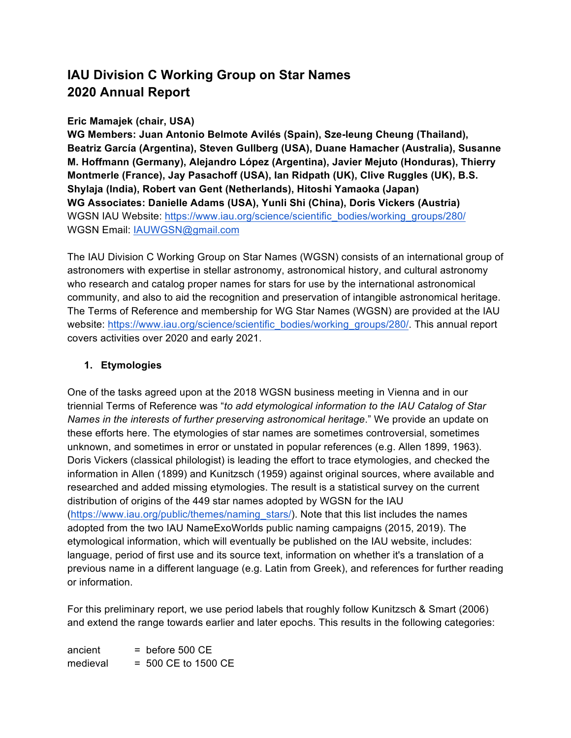# **IAU Division C Working Group on Star Names 2020 Annual Report**

## **Eric Mamajek (chair, USA)**

**WG Members: Juan Antonio Belmote Avilés (Spain), Sze-leung Cheung (Thailand), Beatriz García (Argentina), Steven Gullberg (USA), Duane Hamacher (Australia), Susanne M. Hoffmann (Germany), Alejandro López (Argentina), Javier Mejuto (Honduras), Thierry Montmerle (France), Jay Pasachoff (USA), Ian Ridpath (UK), Clive Ruggles (UK), B.S. Shylaja (India), Robert van Gent (Netherlands), Hitoshi Yamaoka (Japan) WG Associates: Danielle Adams (USA), Yunli Shi (China), Doris Vickers (Austria)** WGSN IAU Website: https://www.iau.org/science/scientific\_bodies/working\_groups/280/ WGSN Email: IAUWGSN@gmail.com

The IAU Division C Working Group on Star Names (WGSN) consists of an international group of astronomers with expertise in stellar astronomy, astronomical history, and cultural astronomy who research and catalog proper names for stars for use by the international astronomical community, and also to aid the recognition and preservation of intangible astronomical heritage. The Terms of Reference and membership for WG Star Names (WGSN) are provided at the IAU website: https://www.iau.org/science/scientific\_bodies/working\_groups/280/. This annual report covers activities over 2020 and early 2021.

# **1. Etymologies**

One of the tasks agreed upon at the 2018 WGSN business meeting in Vienna and in our triennial Terms of Reference was "*to add etymological information to the IAU Catalog of Star Names in the interests of further preserving astronomical heritage*." We provide an update on these efforts here. The etymologies of star names are sometimes controversial, sometimes unknown, and sometimes in error or unstated in popular references (e.g. Allen 1899, 1963). Doris Vickers (classical philologist) is leading the effort to trace etymologies, and checked the information in Allen (1899) and Kunitzsch (1959) against original sources, where available and researched and added missing etymologies. The result is a statistical survey on the current distribution of origins of the 449 star names adopted by WGSN for the IAU (https://www.iau.org/public/themes/naming\_stars/). Note that this list includes the names adopted from the two IAU NameExoWorlds public naming campaigns (2015, 2019). The etymological information, which will eventually be published on the IAU website, includes: language, period of first use and its source text, information on whether it's a translation of a previous name in a different language (e.g. Latin from Greek), and references for further reading or information.

For this preliminary report, we use period labels that roughly follow Kunitzsch & Smart (2006) and extend the range towards earlier and later epochs. This results in the following categories:

 $ancient$  = before 500 CE  $medieval$  = 500 CE to 1500 CE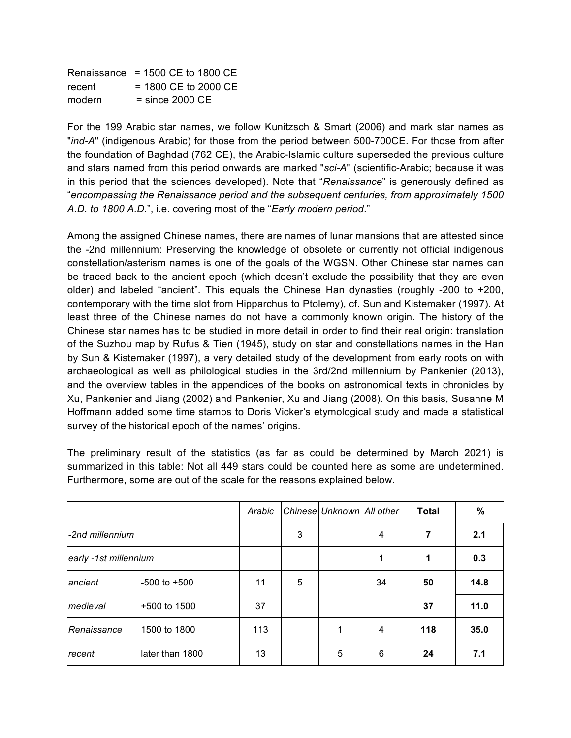|        | Renaissance $= 1500$ CE to 1800 CE |
|--------|------------------------------------|
| recent | $= 1800$ CE to 2000 CE             |
| modern | $=$ since 2000 CE                  |

For the 199 Arabic star names, we follow Kunitzsch & Smart (2006) and mark star names as "*ind-A*" (indigenous Arabic) for those from the period between 500-700CE. For those from after the foundation of Baghdad (762 CE), the Arabic-Islamic culture superseded the previous culture and stars named from this period onwards are marked "*sci-A*" (scientific-Arabic; because it was in this period that the sciences developed). Note that "*Renaissance*" is generously defined as "*encompassing the Renaissance period and the subsequent centuries, from approximately 1500 A.D. to 1800 A.D.*", i.e. covering most of the "*Early modern period*."

Among the assigned Chinese names, there are names of lunar mansions that are attested since the -2nd millennium: Preserving the knowledge of obsolete or currently not official indigenous constellation/asterism names is one of the goals of the WGSN. Other Chinese star names can be traced back to the ancient epoch (which doesn't exclude the possibility that they are even older) and labeled "ancient". This equals the Chinese Han dynasties (roughly  $-200$  to  $+200$ , contemporary with the time slot from Hipparchus to Ptolemy), cf. Sun and Kistemaker (1997). At least three of the Chinese names do not have a commonly known origin. The history of the Chinese star names has to be studied in more detail in order to find their real origin: translation of the Suzhou map by Rufus & Tien (1945), study on star and constellations names in the Han by Sun & Kistemaker (1997), a very detailed study of the development from early roots on with archaeological as well as philological studies in the 3rd/2nd millennium by Pankenier (2013), and the overview tables in the appendices of the books on astronomical texts in chronicles by Xu, Pankenier and Jiang (2002) and Pankenier, Xu and Jiang (2008). On this basis, Susanne M Hoffmann added some time stamps to Doris Vicker's etymological study and made a statistical survey of the historical epoch of the names' origins.

The preliminary result of the statistics (as far as could be determined by March 2021) is summarized in this table: Not all 449 stars could be counted here as some are undetermined. Furthermore, some are out of the scale for the reasons explained below.

|                       |                 | Arabic |   | Chinese Unknown All other |    | <b>Total</b> | %    |
|-----------------------|-----------------|--------|---|---------------------------|----|--------------|------|
| -2nd millennium       |                 |        | 3 |                           | 4  | 7            | 2.1  |
| early -1st millennium |                 |        |   |                           |    | 1            | 0.3  |
| ancient               | -500 to +500    | 11     | 5 |                           | 34 | 50           | 14.8 |
| medieval              | +500 to 1500    | 37     |   |                           |    | 37           | 11.0 |
| Renaissance           | 1500 to 1800    | 113    |   | 1                         | 4  | 118          | 35.0 |
| recent                | later than 1800 | 13     |   | 5                         | 6  | 24           | 7.1  |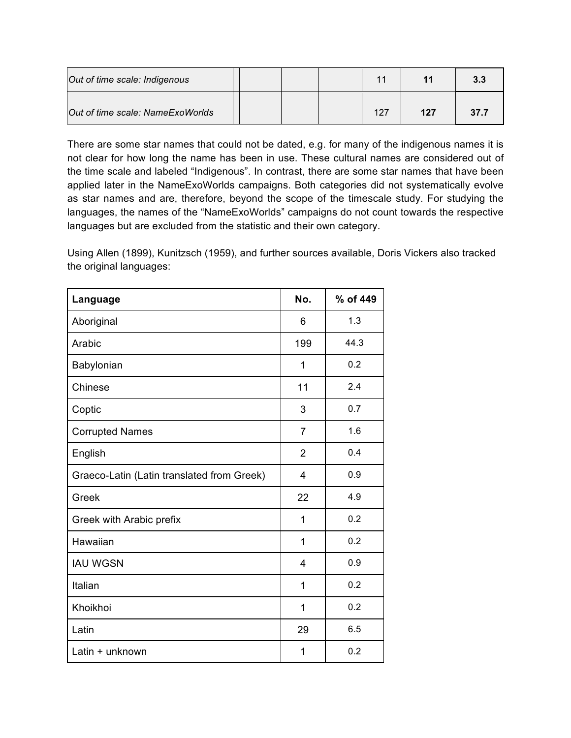| Out of time scale: Indigenous    |  |  |     |     | 3.3  |
|----------------------------------|--|--|-----|-----|------|
| Out of time scale: NameExoWorlds |  |  | 127 | 127 | 37.7 |

There are some star names that could not be dated, e.g. for many of the indigenous names it is not clear for how long the name has been in use. These cultural names are considered out of the time scale and labeled "Indigenous". In contrast, there are some star names that have been applied later in the NameExoWorlds campaigns. Both categories did not systematically evolve as star names and are, therefore, beyond the scope of the timescale study. For studying the languages, the names of the "NameExoWorlds" campaigns do not count towards the respective languages but are excluded from the statistic and their own category.

Using Allen (1899), Kunitzsch (1959), and further sources available, Doris Vickers also tracked the original languages:

| Language                                   | No.            | % of 449 |
|--------------------------------------------|----------------|----------|
| Aboriginal                                 | 6              | 1.3      |
| Arabic                                     | 199            | 44.3     |
| Babylonian                                 | 1              | 0.2      |
| Chinese                                    | 11             | 2.4      |
| Coptic                                     | 3              | 0.7      |
| <b>Corrupted Names</b>                     | $\overline{7}$ | 1.6      |
| English                                    | $\overline{2}$ | 0.4      |
| Graeco-Latin (Latin translated from Greek) | 4              | 0.9      |
| Greek                                      | 22             | 4.9      |
| Greek with Arabic prefix                   | 1              | 0.2      |
| Hawaiian                                   | 1              | 0.2      |
| <b>IAU WGSN</b>                            | 4              | 0.9      |
| Italian                                    | 1              | 0.2      |
| Khoikhoi                                   | 1              | 0.2      |
| Latin                                      | 29             | 6.5      |
| Latin + unknown                            | 1              | 0.2      |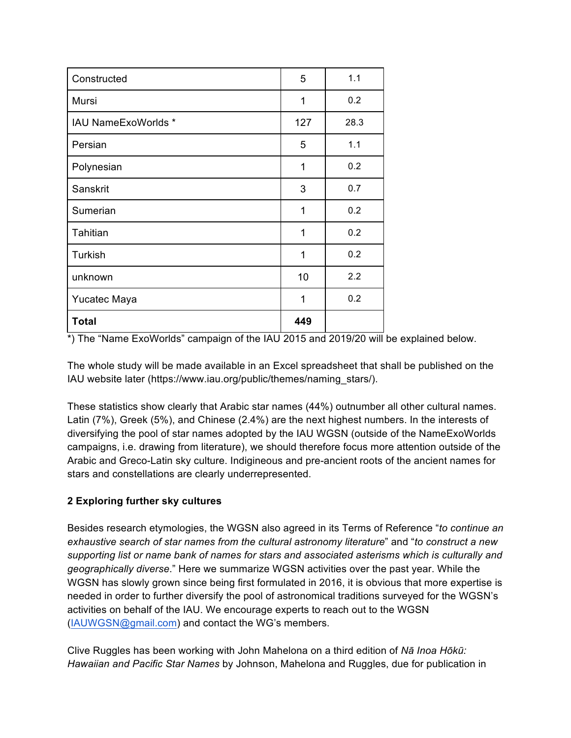| Constructed                | 5   | 1.1  |
|----------------------------|-----|------|
| Mursi                      | 1   | 0.2  |
| <b>IAU NameExoWorlds *</b> | 127 | 28.3 |
| Persian                    | 5   | 1.1  |
| Polynesian                 | 1   | 0.2  |
| Sanskrit                   | 3   | 0.7  |
| Sumerian                   | 1   | 0.2  |
| Tahitian                   | 1   | 0.2  |
| Turkish                    | 1   | 0.2  |
| unknown                    | 10  | 2.2  |
| Yucatec Maya               | 1   | 0.2  |
| <b>Total</b>               | 449 |      |

\*) The "Name ExoWorlds" campaign of the IAU 2015 and 2019/20 will be explained below.

The whole study will be made available in an Excel spreadsheet that shall be published on the IAU website later (https://www.iau.org/public/themes/naming\_stars/).

These statistics show clearly that Arabic star names (44%) outnumber all other cultural names. Latin (7%), Greek (5%), and Chinese (2.4%) are the next highest numbers. In the interests of diversifying the pool of star names adopted by the IAU WGSN (outside of the NameExoWorlds campaigns, i.e. drawing from literature), we should therefore focus more attention outside of the Arabic and Greco-Latin sky culture. Indigineous and pre-ancient roots of the ancient names for stars and constellations are clearly underrepresented.

## **2 Exploring further sky cultures**

Besides research etymologies, the WGSN also agreed in its Terms of Reference "*to continue an exhaustive search of star names from the cultural astronomy literature*" and "*to construct a new supporting list or name bank of names for stars and associated asterisms which is culturally and geographically diverse*." Here we summarize WGSN activities over the past year. While the WGSN has slowly grown since being first formulated in 2016, it is obvious that more expertise is needed in order to further diversify the pool of astronomical traditions surveyed for the WGSN's activities on behalf of the IAU. We encourage experts to reach out to the WGSN (IAUWGSN@gmail.com) and contact the WG's members.

Clive Ruggles has been working with John Mahelona on a third edition of *Nā Inoa Hōkū: Hawaiian and Pacific Star Names* by Johnson, Mahelona and Ruggles, due for publication in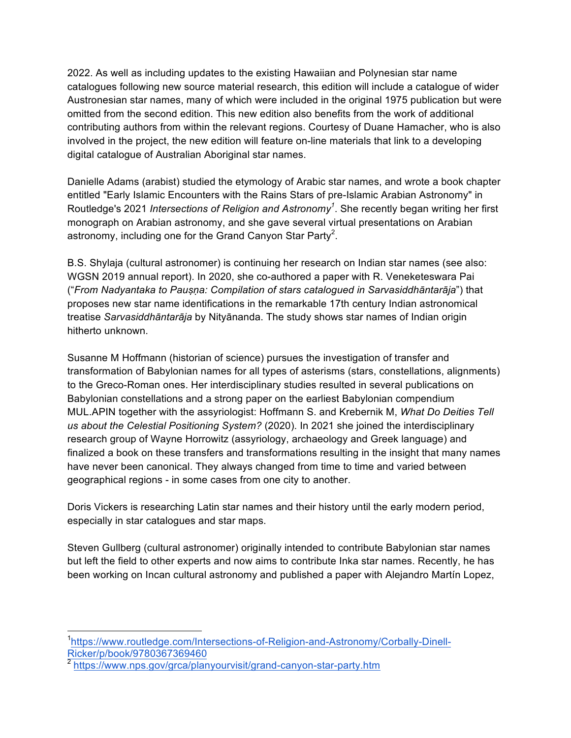2022. As well as including updates to the existing Hawaiian and Polynesian star name catalogues following new source material research, this edition will include a catalogue of wider Austronesian star names, many of which were included in the original 1975 publication but were omitted from the second edition. This new edition also benefits from the work of additional contributing authors from within the relevant regions. Courtesy of Duane Hamacher, who is also involved in the project, the new edition will feature on-line materials that link to a developing digital catalogue of Australian Aboriginal star names.

Danielle Adams (arabist) studied the etymology of Arabic star names, and wrote a book chapter entitled "Early Islamic Encounters with the Rains Stars of pre-Islamic Arabian Astronomy" in Routledge's 2021 *Intersections of Religion and Astronomy*<sup>1</sup>. She recently began writing her first monograph on Arabian astronomy, and she gave several virtual presentations on Arabian astronomy, including one for the Grand Canyon Star Party<sup>2</sup>.

B.S. Shylaja (cultural astronomer) is continuing her research on Indian star names (see also: WGSN 2019 annual report). In 2020, she co-authored a paper with R. Veneketeswara Pai ("*From Nadyantaka to Pauṣṇa: Compilation of stars catalogued in Sarvasiddhāntarāja*") that proposes new star name identifications in the remarkable 17th century Indian astronomical treatise *Sarvasiddhāntarāja* by Nityānanda. The study shows star names of Indian origin hitherto unknown.

Susanne M Hoffmann (historian of science) pursues the investigation of transfer and transformation of Babylonian names for all types of asterisms (stars, constellations, alignments) to the Greco-Roman ones. Her interdisciplinary studies resulted in several publications on Babylonian constellations and a strong paper on the earliest Babylonian compendium MUL.APIN together with the assyriologist: Hoffmann S. and Krebernik M, *What Do Deities Tell us about the Celestial Positioning System?* (2020). In 2021 she joined the interdisciplinary research group of Wayne Horrowitz (assyriology, archaeology and Greek language) and finalized a book on these transfers and transformations resulting in the insight that many names have never been canonical. They always changed from time to time and varied between geographical regions - in some cases from one city to another.

Doris Vickers is researching Latin star names and their history until the early modern period, especially in star catalogues and star maps.

Steven Gullberg (cultural astronomer) originally intended to contribute Babylonian star names but left the field to other experts and now aims to contribute Inka star names. Recently, he has been working on Incan cultural astronomy and published a paper with Alejandro Martín Lopez,

 <sup>1</sup> https://www.routledge.com/Intersections-of-Religion-and-Astronomy/Corbally-Dinell-Ricker/p/book/9780367369460

<sup>2</sup> https://www.nps.gov/grca/planyourvisit/grand-canyon-star-party.htm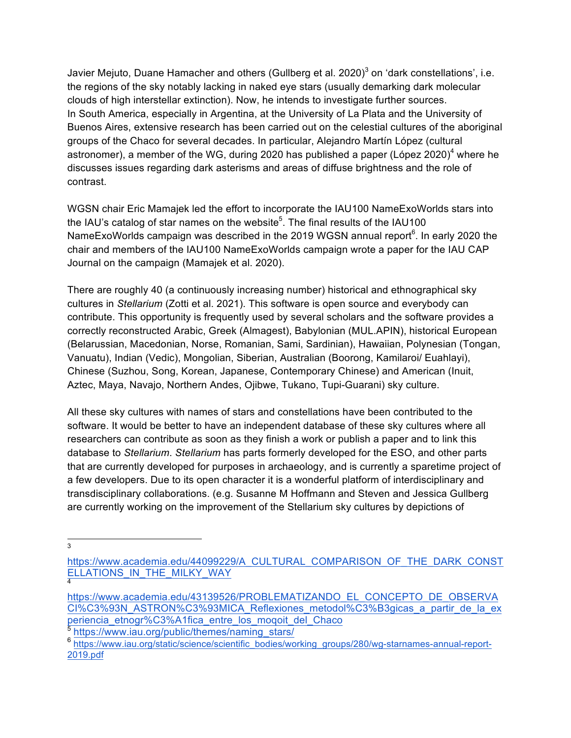Javier Mejuto, Duane Hamacher and others (Gullberg et al. 2020)<sup>3</sup> on 'dark constellations', i.e. the regions of the sky notably lacking in naked eye stars (usually demarking dark molecular clouds of high interstellar extinction). Now, he intends to investigate further sources. In South America, especially in Argentina, at the University of La Plata and the University of Buenos Aires, extensive research has been carried out on the celestial cultures of the aboriginal groups of the Chaco for several decades. In particular, Alejandro Martín López (cultural astronomer), a member of the WG, during 2020 has published a paper (López 2020)<sup>4</sup> where he discusses issues regarding dark asterisms and areas of diffuse brightness and the role of contrast.

WGSN chair Eric Mamajek led the effort to incorporate the IAU100 NameExoWorlds stars into the IAU's catalog of star names on the website<sup>5</sup>. The final results of the IAU100 NameExoWorlds campaign was described in the 2019 WGSN annual report $^6$ . In early 2020 the chair and members of the IAU100 NameExoWorlds campaign wrote a paper for the IAU CAP Journal on the campaign (Mamajek et al. 2020).

There are roughly 40 (a continuously increasing number) historical and ethnographical sky cultures in *Stellarium* (Zotti et al. 2021). This software is open source and everybody can contribute. This opportunity is frequently used by several scholars and the software provides a correctly reconstructed Arabic, Greek (Almagest), Babylonian (MUL.APIN), historical European (Belarussian, Macedonian, Norse, Romanian, Sami, Sardinian), Hawaiian, Polynesian (Tongan, Vanuatu), Indian (Vedic), Mongolian, Siberian, Australian (Boorong, Kamilaroi/ Euahlayi), Chinese (Suzhou, Song, Korean, Japanese, Contemporary Chinese) and American (Inuit, Aztec, Maya, Navajo, Northern Andes, Ojibwe, Tukano, Tupi-Guarani) sky culture.

All these sky cultures with names of stars and constellations have been contributed to the software. It would be better to have an independent database of these sky cultures where all researchers can contribute as soon as they finish a work or publish a paper and to link this database to *Stellarium*. *Stellarium* has parts formerly developed for the ESO, and other parts that are currently developed for purposes in archaeology, and is currently a sparetime project of a few developers. Due to its open character it is a wonderful platform of interdisciplinary and transdisciplinary collaborations. (e.g. Susanne M Hoffmann and Steven and Jessica Gullberg are currently working on the improvement of the Stellarium sky cultures by depictions of

3

https://www.academia.edu/44099229/A\_CULTURAL\_COMPARISON\_OF\_THE\_DARK\_CONST ELLATIONS\_IN\_THE\_MILKY\_WAY 4

https://www.academia.edu/43139526/PROBLEMATIZANDO\_EL\_CONCEPTO\_DE\_OBSERVA CI%C3%93N\_ASTRON%C3%93MICA\_Reflexiones\_metodol%C3%B3gicas\_a\_partir\_de\_la\_ex\_ periencia\_etnogr%C3%A1fica\_entre\_los\_moqoit\_del\_Chaco

<sup>5</sup> https://www.iau.org/public/themes/naming\_stars/

<sup>6</sup> https://www.iau.org/static/science/scientific\_bodies/working\_groups/280/wg-starnames-annual-report-2019.pdf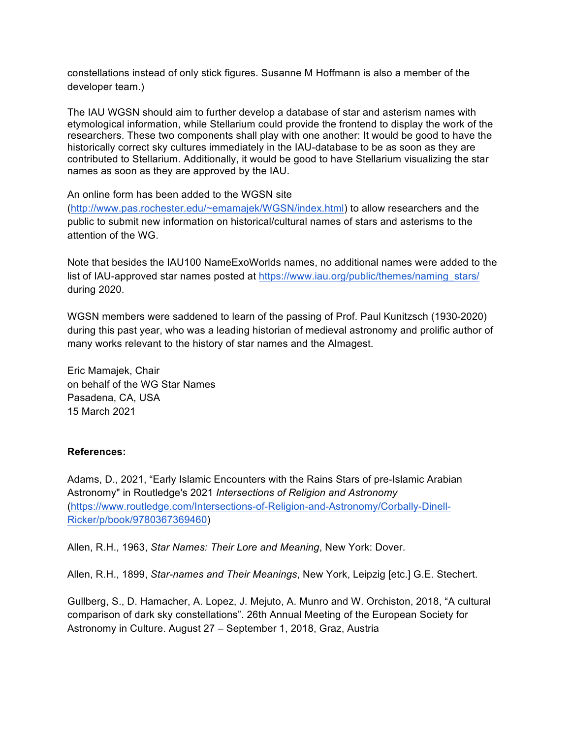constellations instead of only stick figures. Susanne M Hoffmann is also a member of the developer team.)

The IAU WGSN should aim to further develop a database of star and asterism names with etymological information, while Stellarium could provide the frontend to display the work of the researchers. These two components shall play with one another: It would be good to have the historically correct sky cultures immediately in the IAU-database to be as soon as they are contributed to Stellarium. Additionally, it would be good to have Stellarium visualizing the star names as soon as they are approved by the IAU.

An online form has been added to the WGSN site

(http://www.pas.rochester.edu/~emamajek/WGSN/index.html) to allow researchers and the public to submit new information on historical/cultural names of stars and asterisms to the attention of the WG.

Note that besides the IAU100 NameExoWorlds names, no additional names were added to the list of IAU-approved star names posted at https://www.iau.org/public/themes/naming\_stars/ during 2020.

WGSN members were saddened to learn of the passing of Prof. Paul Kunitzsch (1930-2020) during this past year, who was a leading historian of medieval astronomy and prolific author of many works relevant to the history of star names and the Almagest.

Eric Mamajek, Chair on behalf of the WG Star Names Pasadena, CA, USA 15 March 2021

#### **References:**

Adams, D., 2021, "Early Islamic Encounters with the Rains Stars of pre-Islamic Arabian Astronomy" in Routledge's 2021 *Intersections of Religion and Astronomy* (https://www.routledge.com/Intersections-of-Religion-and-Astronomy/Corbally-Dinell-Ricker/p/book/9780367369460)

Allen, R.H., 1963, *Star Names: Their Lore and Meaning*, New York: Dover.

Allen, R.H., 1899, *Star-names and Their Meanings*, New York, Leipzig [etc.] G.E. Stechert.

Gullberg, S., D. Hamacher, A. Lopez, J. Mejuto, A. Munro and W. Orchiston, 2018, "A cultural comparison of dark sky constellations". 26th Annual Meeting of the European Society for Astronomy in Culture. August 27 – September 1, 2018, Graz, Austria